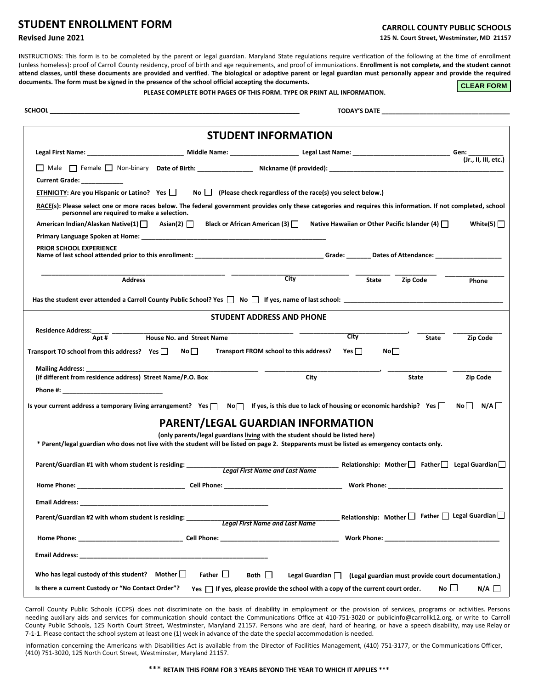## **STUDENT ENROLLMENT FORM**

## **Revised June 2021**

## **CARROLL COUNTY PUBLIC SCHOOLS 125 N. Court Street, Westminster, MD 21157**

INSTRUCTIONS: This form is to be completed by the parent or legal guardian. Maryland State regulations require verification of the following at the time of enrollment (unless homeless): proof of Carroll County residency, proof of birth and age requirements, and proof of immunizations. **Enrollment is not complete, and the student cannot attend classes, until these documents are provided and verified**. **The biological or adoptive parent or legal guardian must personally appear and provide the required documents. The form must be signed in the presence of the school official accepting the documents.** 

**PLEASE COMPLETE BOTH PAGES OF THIS FORM. TYPE OR PRINT ALL INFORMATION.** 

**CLEAR FORM**

**SCHOOL \_\_\_\_\_\_\_\_\_\_\_\_\_\_\_\_\_\_\_\_\_\_\_\_\_\_\_\_\_\_\_\_\_\_\_\_\_\_\_\_\_\_\_\_\_\_\_\_\_\_\_\_\_\_\_\_\_\_\_\_\_\_\_\_\_\_\_\_\_\_\_\_ TODAY'S DATE \_\_\_\_\_\_\_\_\_\_\_\_\_\_\_\_\_\_\_\_\_\_\_\_\_\_\_\_\_\_\_\_\_\_\_\_\_** 

|                                                                                                                                                                                                                                     |                           | <b>STUDENT INFORMATION</b>                                                   |            |              |                                                                                                                                                                                                                                     |                  |  |
|-------------------------------------------------------------------------------------------------------------------------------------------------------------------------------------------------------------------------------------|---------------------------|------------------------------------------------------------------------------|------------|--------------|-------------------------------------------------------------------------------------------------------------------------------------------------------------------------------------------------------------------------------------|------------------|--|
|                                                                                                                                                                                                                                     |                           |                                                                              |            |              |                                                                                                                                                                                                                                     |                  |  |
|                                                                                                                                                                                                                                     |                           |                                                                              |            |              |                                                                                                                                                                                                                                     |                  |  |
| <b>Current Grade:</b>                                                                                                                                                                                                               |                           |                                                                              |            |              |                                                                                                                                                                                                                                     |                  |  |
| ETHNICITY: Are you Hispanic or Latino? Yes                                                                                                                                                                                          |                           | No $\Box$ (Please check regardless of the race(s) you select below.)         |            |              |                                                                                                                                                                                                                                     |                  |  |
| RACE(s): Please select one or more races below. The federal government provides only these categories and requires this information. If not completed, school                                                                       |                           |                                                                              |            |              |                                                                                                                                                                                                                                     |                  |  |
| personnel are required to make a selection.                                                                                                                                                                                         |                           |                                                                              |            |              |                                                                                                                                                                                                                                     |                  |  |
| American Indian/Alaskan Native(1)   Asian(2)   △                                                                                                                                                                                    |                           | Black or African American (3) $\Box$                                         |            |              | Native Hawaiian or Other Pacific Islander (4) $\Box$                                                                                                                                                                                | White(5) $\vert$ |  |
|                                                                                                                                                                                                                                     |                           |                                                                              |            |              |                                                                                                                                                                                                                                     |                  |  |
| PRIOR SCHOOL EXPERIENCE                                                                                                                                                                                                             |                           |                                                                              |            |              |                                                                                                                                                                                                                                     |                  |  |
| <b>Address</b>                                                                                                                                                                                                                      |                           | $\overline{City}$                                                            |            | <b>State</b> | Zip Code                                                                                                                                                                                                                            | Phone            |  |
| Has the student ever attended a Carroll County Public School? Yes $\Box$ No $\Box$ If yes, name of last school:                                                                                                                     |                           |                                                                              |            |              |                                                                                                                                                                                                                                     |                  |  |
|                                                                                                                                                                                                                                     |                           | <b>STUDENT ADDRESS AND PHONE</b>                                             |            |              |                                                                                                                                                                                                                                     |                  |  |
| <b>Residence Address:</b>                                                                                                                                                                                                           | House No. and Street Name |                                                                              | City       |              |                                                                                                                                                                                                                                     |                  |  |
| Apt#                                                                                                                                                                                                                                |                           |                                                                              |            |              | <b>State</b>                                                                                                                                                                                                                        | Zip Code         |  |
| Transport TO school from this address? Yes $\Box$                                                                                                                                                                                   | No <sub>1</sub>           | Transport FROM school to this address?                                       | Yes $\Box$ | No           |                                                                                                                                                                                                                                     |                  |  |
|                                                                                                                                                                                                                                     |                           |                                                                              |            |              |                                                                                                                                                                                                                                     |                  |  |
| (If different from residence address) Street Name/P.O. Box                                                                                                                                                                          |                           | City                                                                         |            |              | State                                                                                                                                                                                                                               | Zip Code         |  |
| <b>Phone #:</b> the contract of the contract of the contract of the contract of the contract of the contract of the contract of the contract of the contract of the contract of the contract of the contract of the contract of the |                           |                                                                              |            |              |                                                                                                                                                                                                                                     |                  |  |
| Is your current address a temporary living arrangement? Yes $\Box$ No $\Box$ If yes, is this due to lack of housing or economic hardship? Yes $\Box$                                                                                |                           |                                                                              |            |              |                                                                                                                                                                                                                                     | $No$ $N/A$       |  |
|                                                                                                                                                                                                                                     |                           | <b>PARENT/LEGAL GUARDIAN INFORMATION</b>                                     |            |              |                                                                                                                                                                                                                                     |                  |  |
|                                                                                                                                                                                                                                     |                           | (only parents/legal guardians living with the student should be listed here) |            |              |                                                                                                                                                                                                                                     |                  |  |
| * Parent/legal guardian who does not live with the student will be listed on page 2. Stepparents must be listed as emergency contacts only.                                                                                         |                           |                                                                              |            |              |                                                                                                                                                                                                                                     |                  |  |
| Parent/Guardian #1 with whom student is residing: _________                                                                                                                                                                         |                           | <b>Legal First Name and Last Name</b>                                        |            |              | Relationship: Mother $\Box$ Father $\Box$ Legal Guardian $\Box$                                                                                                                                                                     |                  |  |
|                                                                                                                                                                                                                                     |                           |                                                                              |            |              |                                                                                                                                                                                                                                     |                  |  |
| <b>Email Address: Email Address:</b>                                                                                                                                                                                                |                           |                                                                              |            |              |                                                                                                                                                                                                                                     |                  |  |
| Parent/Guardian #2 with whom student is residing: _____________Legal First Name and Last Name                                                                                                                                       |                           |                                                                              |            |              | Relationship: Mother $\Box$ Father $\Box$ Legal Guardian $\Box$                                                                                                                                                                     |                  |  |
|                                                                                                                                                                                                                                     |                           |                                                                              |            |              | <b>Work Phone:</b> when the contract of the contract of the contract of the contract of the contract of the contract of the contract of the contract of the contract of the contract of the contract of the contract of the contrac |                  |  |
|                                                                                                                                                                                                                                     |                           |                                                                              |            |              |                                                                                                                                                                                                                                     |                  |  |
|                                                                                                                                                                                                                                     |                           |                                                                              |            |              |                                                                                                                                                                                                                                     |                  |  |
| Who has legal custody of this student? Mother $\Box$                                                                                                                                                                                | Father $\square$          | Both $\Box$                                                                  |            |              | Legal Guardian   (Legal guardian must provide court documentation.)                                                                                                                                                                 |                  |  |

Carroll County Public Schools (CCPS) does not discriminate on the basis of disability in employment or the provision of services, programs or activities. Persons needing auxiliary aids and services for communication should contact the Communications Office at 410-751-3020 or publicinfo@carrollk12.org, or write to Carroll County Public Schools, 125 North Court Street, Westminster, Maryland 21157. Persons who are deaf, hard of hearing, or have a speech disability, may use Relay or 7-1-1. Please contact the school system at least one (1) week in advance of the date the special accommodation is needed.

Information concerning the Americans with Disabilities Act is available from the Director of Facilities Management, (410) 751-3177, or the Communications Officer, (410) 751-3020, 125 North Court Street, Westminster, Maryland 21157.

\*\*\* **RETAIN THIS FORM FOR 3 YEARS BEYOND THE YEAR TO WHICH IT APPLIES \*\*\***